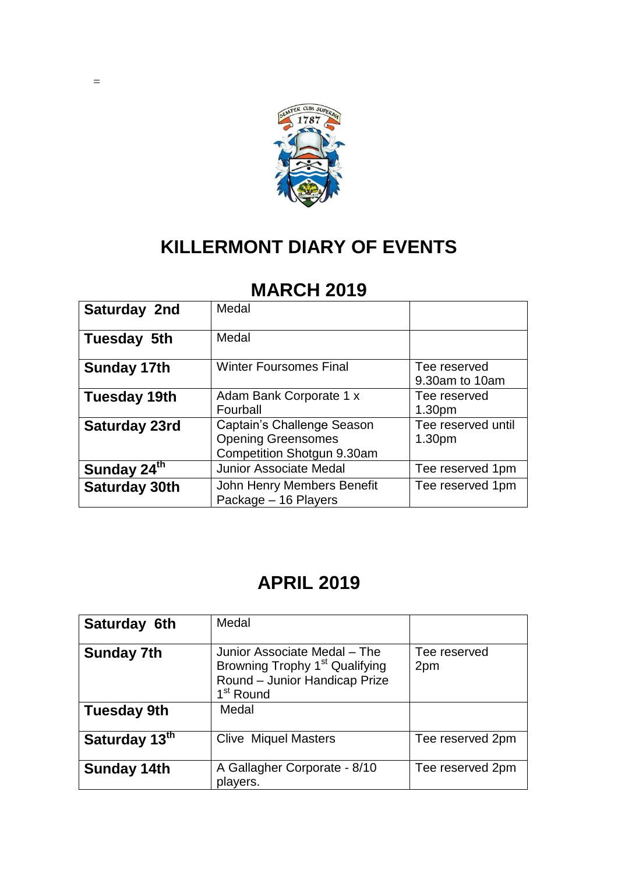

# **KILLERMONT DIARY OF EVENTS**

#### **MARCH 2019**

| Saturday 2nd            | Medal                         |                    |
|-------------------------|-------------------------------|--------------------|
| Tuesday 5th             | Medal                         |                    |
| <b>Sunday 17th</b>      | <b>Winter Foursomes Final</b> | Tee reserved       |
|                         |                               | 9.30am to 10am     |
| Tuesday 19th            | Adam Bank Corporate 1 x       | Tee reserved       |
|                         | Fourball                      | 1.30 <sub>pm</sub> |
| Saturday 23rd           | Captain's Challenge Season    | Tee reserved until |
|                         | <b>Opening Greensomes</b>     | 1.30pm             |
|                         | Competition Shotgun 9.30am    |                    |
| Sunday 24 <sup>th</sup> | <b>Junior Associate Medal</b> | Tee reserved 1pm   |
| <b>Saturday 30th</b>    | John Henry Members Benefit    | Tee reserved 1pm   |
|                         | Package - 16 Players          |                    |

# **APRIL 2019**

| Saturday 6th                            | Medal                                                                                                                                         |                     |
|-----------------------------------------|-----------------------------------------------------------------------------------------------------------------------------------------------|---------------------|
| <b>Sunday 7th</b><br><b>Tuesday 9th</b> | Junior Associate Medal - The<br>Browning Trophy 1 <sup>st</sup> Qualifying<br>Round - Junior Handicap Prize<br>1 <sup>st</sup> Round<br>Medal | Tee reserved<br>2pm |
|                                         |                                                                                                                                               |                     |
| Saturday 13th                           | <b>Clive Miquel Masters</b>                                                                                                                   | Tee reserved 2pm    |
| <b>Sunday 14th</b>                      | A Gallagher Corporate - 8/10<br>players.                                                                                                      | Tee reserved 2pm    |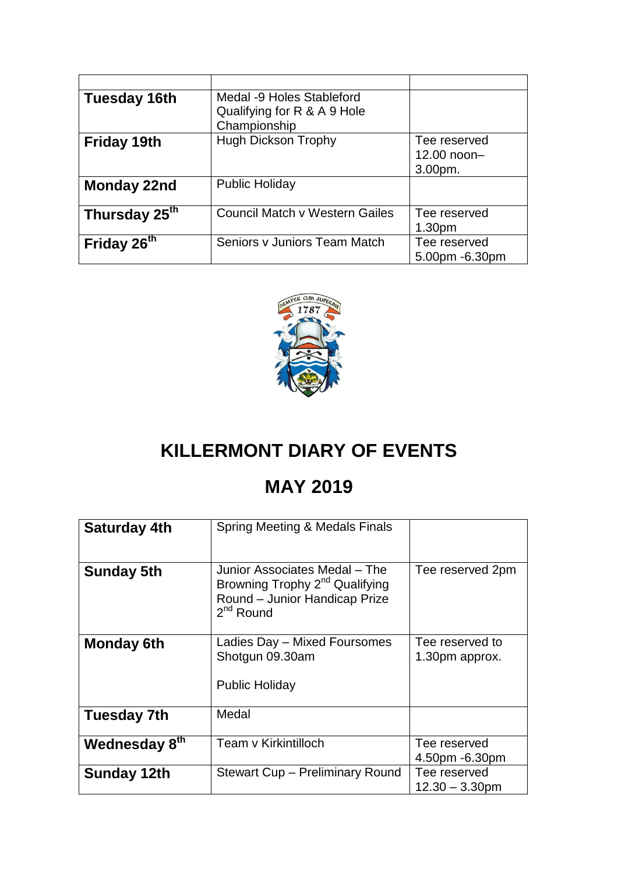| Tuesday 16th              | Medal -9 Holes Stableford<br>Qualifying for R & A 9 Hole<br>Championship |                                        |
|---------------------------|--------------------------------------------------------------------------|----------------------------------------|
| <b>Friday 19th</b>        | <b>Hugh Dickson Trophy</b>                                               | Tee reserved<br>12.00 noon-<br>3.00pm. |
| Monday 22nd               | <b>Public Holiday</b>                                                    |                                        |
| Thursday 25 <sup>th</sup> | <b>Council Match v Western Gailes</b>                                    | Tee reserved<br>1.30 <sub>pm</sub>     |
| Friday 26 <sup>th</sup>   | Seniors y Juniors Team Match                                             | Tee reserved<br>5.00pm -6.30pm         |



## **KILLERMONT DIARY OF EVENTS**

### **MAY 2019**

| <b>Saturday 4th</b> | Spring Meeting & Medals Finals                                                                                                 |                                   |
|---------------------|--------------------------------------------------------------------------------------------------------------------------------|-----------------------------------|
| <b>Sunday 5th</b>   | Junior Associates Medal - The<br>Browning Trophy 2 <sup>nd</sup> Qualifying<br>Round - Junior Handicap Prize<br>$2^{nd}$ Round | Tee reserved 2pm                  |
| <b>Monday 6th</b>   | Ladies Day - Mixed Foursomes<br>Shotgun 09.30am<br>Public Holiday                                                              | Tee reserved to<br>1.30pm approx. |
| Tuesday 7th         | Medal                                                                                                                          |                                   |
| Wednesday 8th       | Team v Kirkintilloch                                                                                                           | Tee reserved<br>4.50pm -6.30pm    |
| <b>Sunday 12th</b>  | Stewart Cup - Preliminary Round                                                                                                | Tee reserved<br>$12.30 - 3.30$ pm |